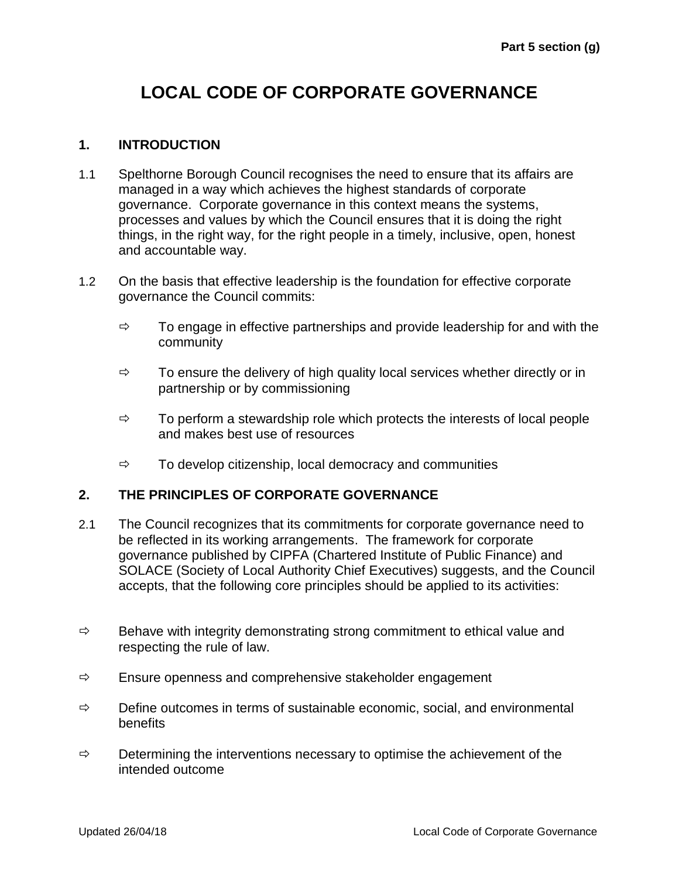## **LOCAL CODE OF CORPORATE GOVERNANCE**

## **1. INTRODUCTION**

- 1.1 Spelthorne Borough Council recognises the need to ensure that its affairs are managed in a way which achieves the highest standards of corporate governance. Corporate governance in this context means the systems, processes and values by which the Council ensures that it is doing the right things, in the right way, for the right people in a timely, inclusive, open, honest and accountable way.
- 1.2 On the basis that effective leadership is the foundation for effective corporate governance the Council commits:
	- $\Rightarrow$  To engage in effective partnerships and provide leadership for and with the community
	- $\Rightarrow$  To ensure the delivery of high quality local services whether directly or in partnership or by commissioning
	- $\Rightarrow$  To perform a stewardship role which protects the interests of local people and makes best use of resources
	- $\Rightarrow$  To develop citizenship, local democracy and communities

## **2. THE PRINCIPLES OF CORPORATE GOVERNANCE**

- 2.1 The Council recognizes that its commitments for corporate governance need to be reflected in its working arrangements. The framework for corporate governance published by CIPFA (Chartered Institute of Public Finance) and SOLACE (Society of Local Authority Chief Executives) suggests, and the Council accepts, that the following core principles should be applied to its activities:
- $\Rightarrow$  Behave with integrity demonstrating strong commitment to ethical value and respecting the rule of law.
- $\Rightarrow$  Ensure openness and comprehensive stakeholder engagement
- $\Rightarrow$  Define outcomes in terms of sustainable economic, social, and environmental benefits
- $\Rightarrow$  Determining the interventions necessary to optimise the achievement of the intended outcome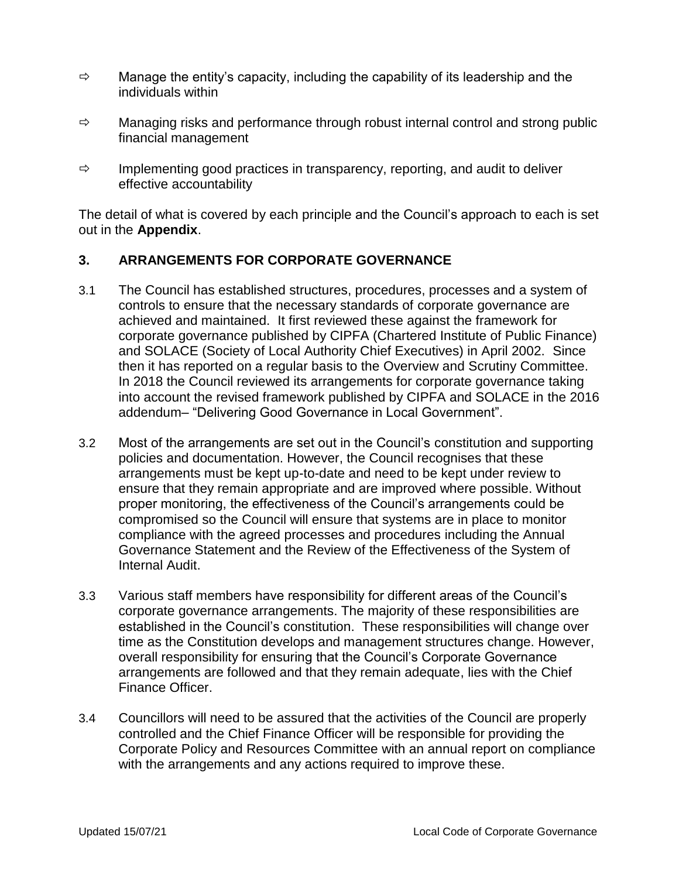- $\Rightarrow$  Manage the entity's capacity, including the capability of its leadership and the individuals within
- $\Rightarrow$  Managing risks and performance through robust internal control and strong public financial management
- $\Rightarrow$  Implementing good practices in transparency, reporting, and audit to deliver effective accountability

The detail of what is covered by each principle and the Council's approach to each is set out in the **Appendix**.

## **3. ARRANGEMENTS FOR CORPORATE GOVERNANCE**

- 3.1 The Council has established structures, procedures, processes and a system of controls to ensure that the necessary standards of corporate governance are achieved and maintained. It first reviewed these against the framework for corporate governance published by CIPFA (Chartered Institute of Public Finance) and SOLACE (Society of Local Authority Chief Executives) in April 2002. Since then it has reported on a regular basis to the Overview and Scrutiny Committee. In 2018 the Council reviewed its arrangements for corporate governance taking into account the revised framework published by CIPFA and SOLACE in the 2016 addendum– "Delivering Good Governance in Local Government".
- 3.2 Most of the arrangements are set out in the Council's constitution and supporting policies and documentation. However, the Council recognises that these arrangements must be kept up-to-date and need to be kept under review to ensure that they remain appropriate and are improved where possible. Without proper monitoring, the effectiveness of the Council's arrangements could be compromised so the Council will ensure that systems are in place to monitor compliance with the agreed processes and procedures including the Annual Governance Statement and the Review of the Effectiveness of the System of Internal Audit.
- 3.3 Various staff members have responsibility for different areas of the Council's corporate governance arrangements. The majority of these responsibilities are established in the Council's constitution. These responsibilities will change over time as the Constitution develops and management structures change. However, overall responsibility for ensuring that the Council's Corporate Governance arrangements are followed and that they remain adequate, lies with the Chief Finance Officer.
- 3.4 Councillors will need to be assured that the activities of the Council are properly controlled and the Chief Finance Officer will be responsible for providing the Corporate Policy and Resources Committee with an annual report on compliance with the arrangements and any actions required to improve these.